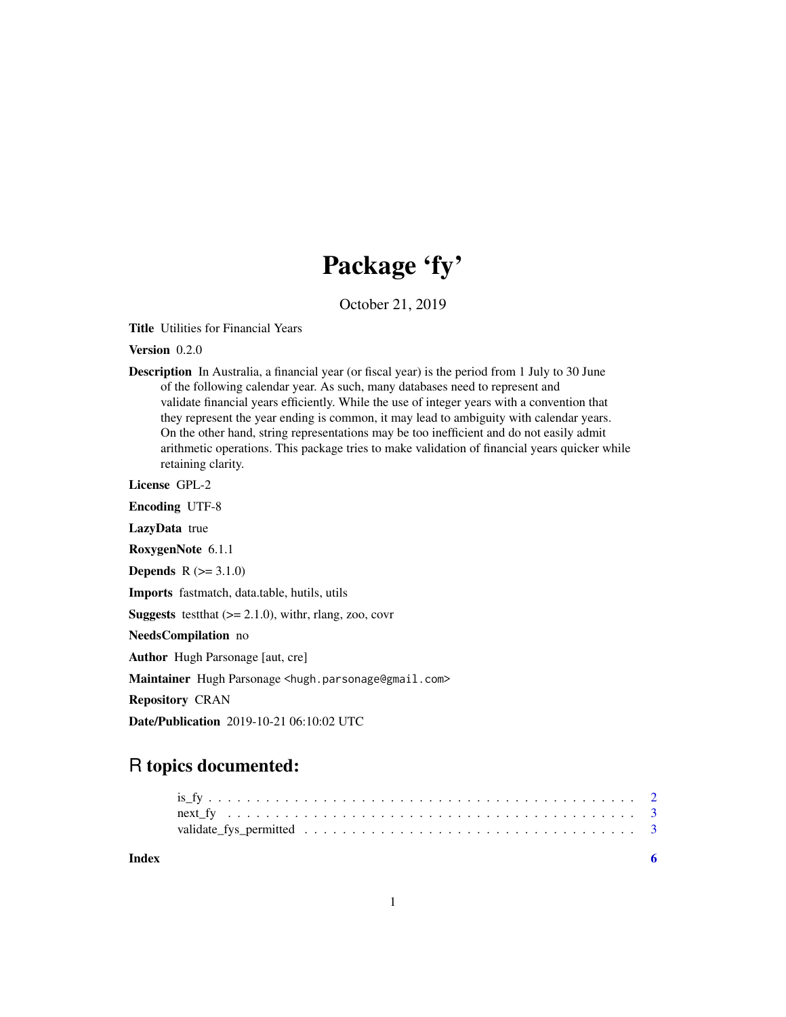## Package 'fy'

October 21, 2019

Title Utilities for Financial Years

Version 0.2.0

Description In Australia, a financial year (or fiscal year) is the period from 1 July to 30 June of the following calendar year. As such, many databases need to represent and validate financial years efficiently. While the use of integer years with a convention that they represent the year ending is common, it may lead to ambiguity with calendar years. On the other hand, string representations may be too inefficient and do not easily admit arithmetic operations. This package tries to make validation of financial years quicker while retaining clarity.

License GPL-2

Encoding UTF-8

LazyData true

RoxygenNote 6.1.1

**Depends**  $R (=3.1.0)$ 

Imports fastmatch, data.table, hutils, utils

**Suggests** testthat  $(>= 2.1.0)$ , withr, rlang, zoo, covr

NeedsCompilation no

Author Hugh Parsonage [aut, cre]

Maintainer Hugh Parsonage <hugh.parsonage@gmail.com>

Repository CRAN

Date/Publication 2019-10-21 06:10:02 UTC

### R topics documented:

**Index** [6](#page-5-0) **6**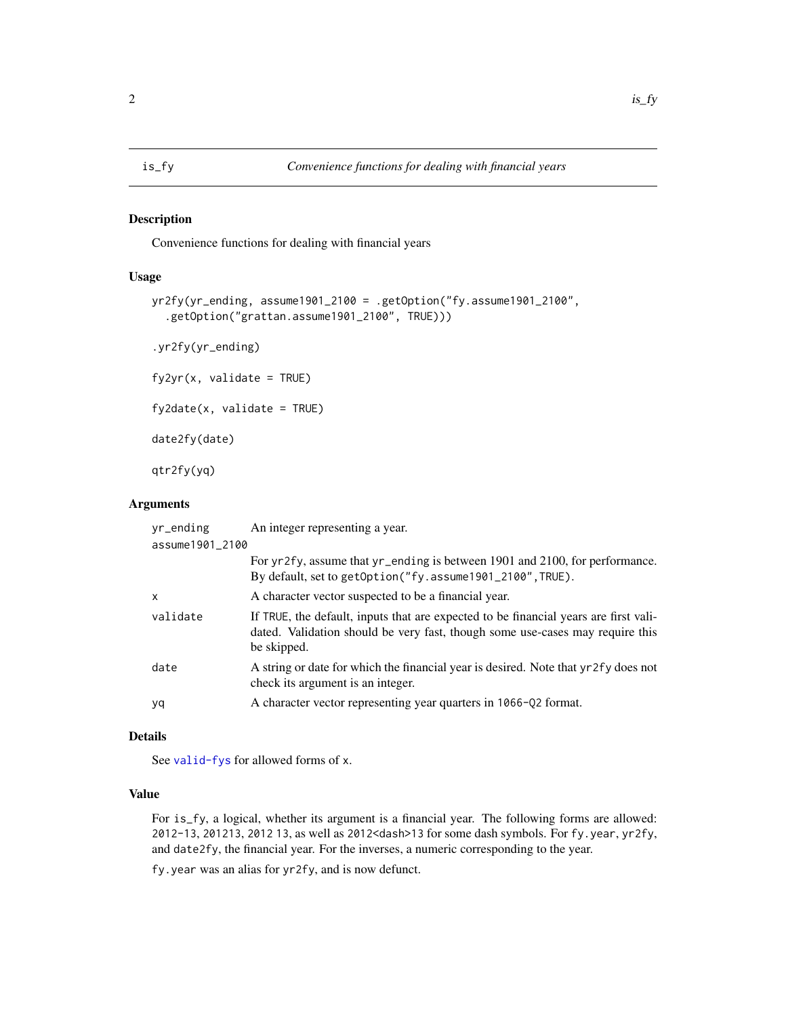#### <span id="page-1-0"></span>Description

Convenience functions for dealing with financial years

#### Usage

```
yr2fy(yr_ending, assume1901_2100 = .getOption("fy.assume1901_2100",
  .getOption("grattan.assume1901_2100", TRUE)))
```
.yr2fy(yr\_ending)

 $fyzyr(x, validate = TRUE)$ 

 $f$ y2date(x, validate = TRUE)

date2fy(date)

qtr2fy(yq)

#### Arguments

| yr_ending       | An integer representing a year.                                                                                                                                                      |
|-----------------|--------------------------------------------------------------------------------------------------------------------------------------------------------------------------------------|
| assume1901_2100 |                                                                                                                                                                                      |
|                 | For yr2fy, assume that yr_ending is between 1901 and 2100, for performance.<br>By default, set to getOption("fy.assume1901_2100", TRUE).                                             |
| X               | A character vector suspected to be a financial year.                                                                                                                                 |
| validate        | If TRUE, the default, inputs that are expected to be financial years are first vali-<br>dated. Validation should be very fast, though some use-cases may require this<br>be skipped. |
| date            | A string or date for which the financial year is desired. Note that yr2fy does not<br>check its argument is an integer.                                                              |
| yq              | A character vector representing year quarters in 1066-Q2 format.                                                                                                                     |

#### Details

See [valid-fys](#page-2-1) for allowed forms of x.

#### Value

For is\_fy, a logical, whether its argument is a financial year. The following forms are allowed: 2012-13, 201213, 2012 13, as well as 2012<dash>13 for some dash symbols. For fy.year, yr2fy, and date2fy, the financial year. For the inverses, a numeric corresponding to the year.

fy.year was an alias for yr2fy, and is now defunct.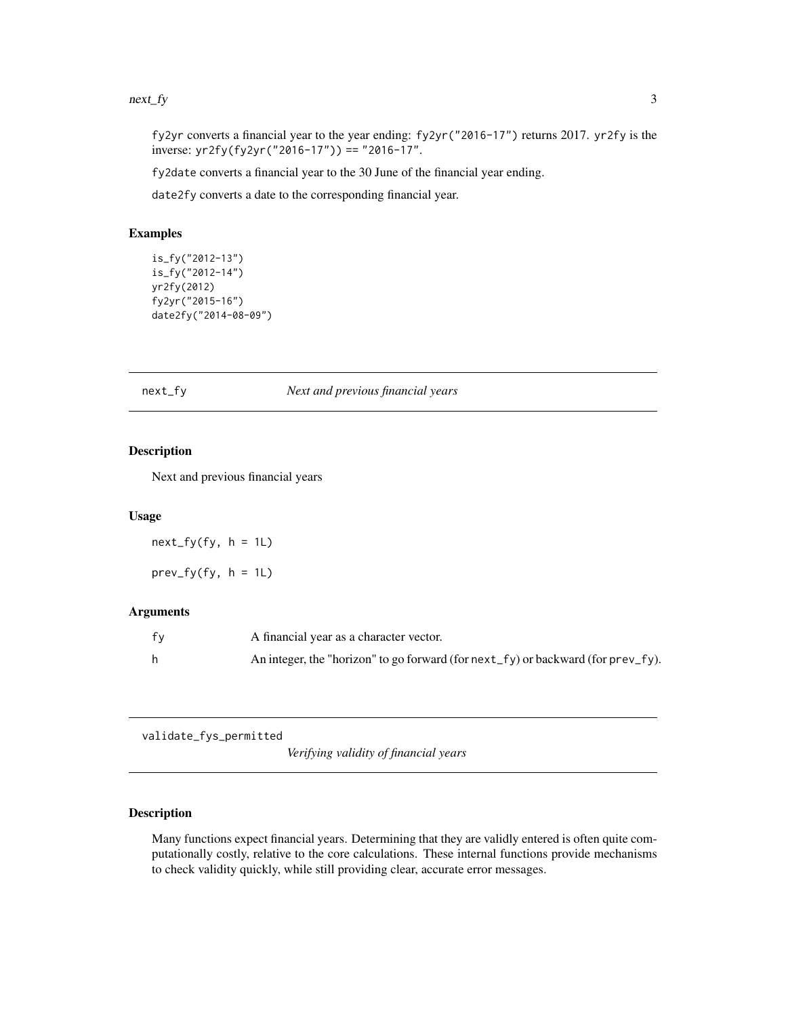#### <span id="page-2-0"></span> $next_f$  3

fy2yr converts a financial year to the year ending: fy2yr("2016-17") returns 2017. yr2fy is the inverse: yr2fy(fy2yr("2016-17")) == "2016-17".

fy2date converts a financial year to the 30 June of the financial year ending.

date2fy converts a date to the corresponding financial year.

#### Examples

```
is_fy("2012-13")
is_fy("2012-14")
yr2fy(2012)
fy2yr("2015-16")
date2fy("2014-08-09")
```
#### next\_fy *Next and previous financial years*

#### Description

Next and previous financial years

#### Usage

 $next_fy(fy, h = 1L)$ 

 $prev_fy(fy, h = 1L)$ 

#### Arguments

| fv | A financial year as a character vector.                                                  |
|----|------------------------------------------------------------------------------------------|
|    | An integer, the "horizon" to go forward (for $next_f y$ ) or backward (for $prev_f y$ ). |

validate\_fys\_permitted

*Verifying validity of financial years*

#### <span id="page-2-1"></span>Description

Many functions expect financial years. Determining that they are validly entered is often quite computationally costly, relative to the core calculations. These internal functions provide mechanisms to check validity quickly, while still providing clear, accurate error messages.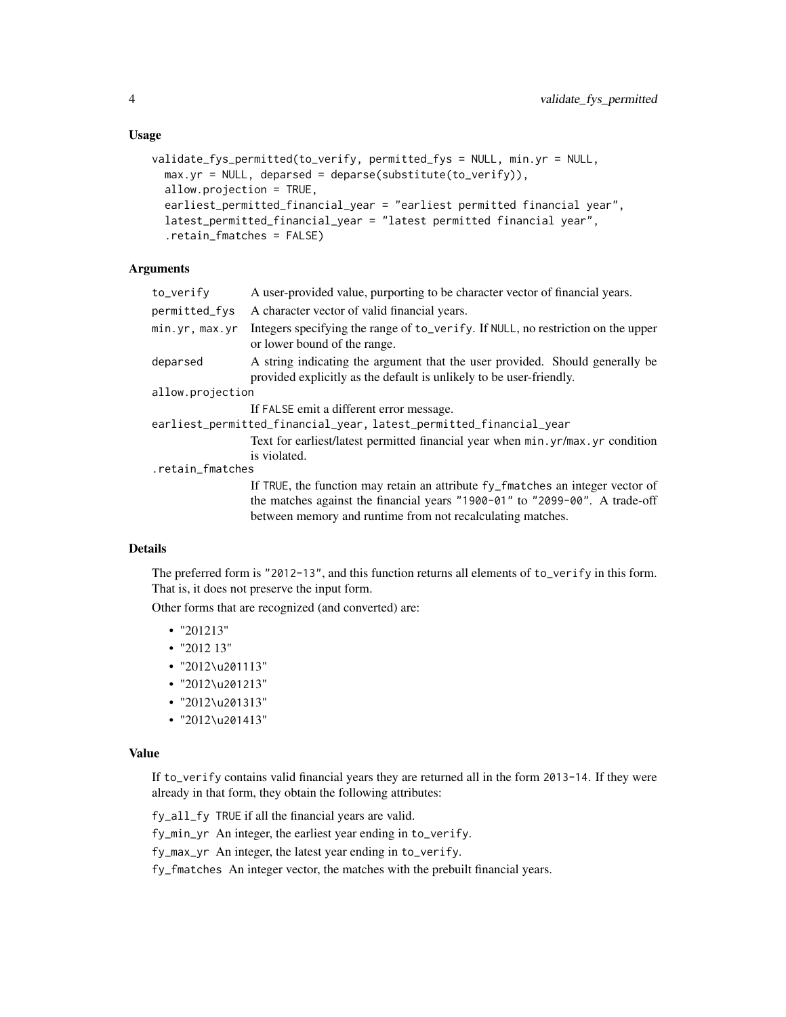```
validate_fys_permitted(to_verify, permitted_fys = NULL, min.yr = NULL,
  max.yr = NULL, deparsed = deparse(substitute(to_verify)),
  allow.projection = TRUE,
  earliest_permitted_financial_year = "earliest permitted financial year",
  latest_permitted_financial_year = "latest permitted financial year",
  .retain_fmatches = FALSE)
```
#### Arguments

| to_verify        | A user-provided value, purporting to be character vector of financial years.                                                                                                                                                |
|------------------|-----------------------------------------------------------------------------------------------------------------------------------------------------------------------------------------------------------------------------|
| permitted_fys    | A character vector of valid financial years.                                                                                                                                                                                |
| min.yr, max.yr   | Integers specifying the range of to_verify. If NULL, no restriction on the upper<br>or lower bound of the range.                                                                                                            |
| deparsed         | A string indicating the argument that the user provided. Should generally be<br>provided explicitly as the default is unlikely to be user-friendly.                                                                         |
| allow.projection |                                                                                                                                                                                                                             |
|                  | If FALSE emit a different error message.                                                                                                                                                                                    |
|                  | earliest_permitted_financial_year, latest_permitted_financial_year                                                                                                                                                          |
|                  | Text for earliest/latest permitted financial year when min.yr/max.yr condition<br>is violated.                                                                                                                              |
| .retain_fmatches |                                                                                                                                                                                                                             |
|                  | If TRUE, the function may retain an attribute fy_fmatches an integer vector of<br>the matches against the financial years "1900-01" to "2099-00". A trade-off<br>between memory and runtime from not recalculating matches. |

#### Details

The preferred form is "2012-13", and this function returns all elements of to\_verify in this form. That is, it does not preserve the input form.

Other forms that are recognized (and converted) are:

- "201213"
- "2012 13"
- "2012\u201113"
- "2012\u201213"
- "2012\u201313"
- "2012\u201413"

#### Value

If to\_verify contains valid financial years they are returned all in the form 2013-14. If they were already in that form, they obtain the following attributes:

fy\_all\_fy TRUE if all the financial years are valid.

fy\_min\_yr An integer, the earliest year ending in to\_verify.

fy\_max\_yr An integer, the latest year ending in to\_verify.

fy\_fmatches An integer vector, the matches with the prebuilt financial years.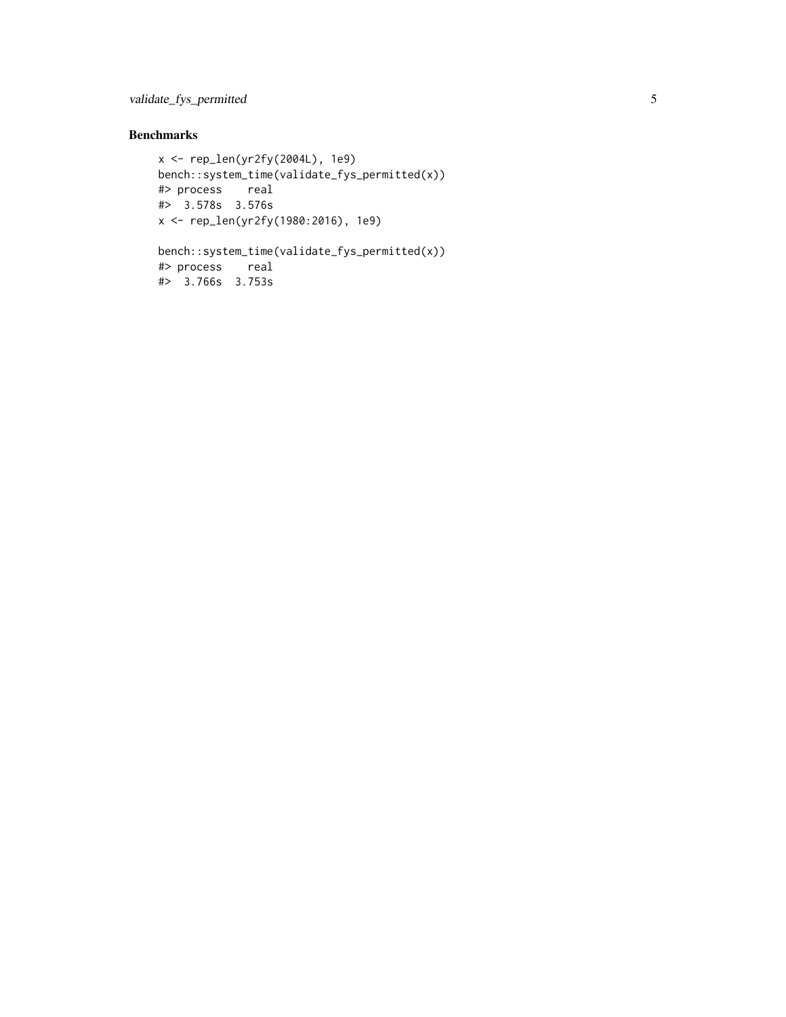#### Benchmarks

```
x <- rep_len(yr2fy(2004L), 1e9)
bench::system_time(validate_fys_permitted(x))
#> process real
#> 3.578s 3.576s
x <- rep_len(yr2fy(1980:2016), 1e9)
```

```
bench::system_time(validate_fys_permitted(x))
#> process real
#> 3.766s 3.753s
```